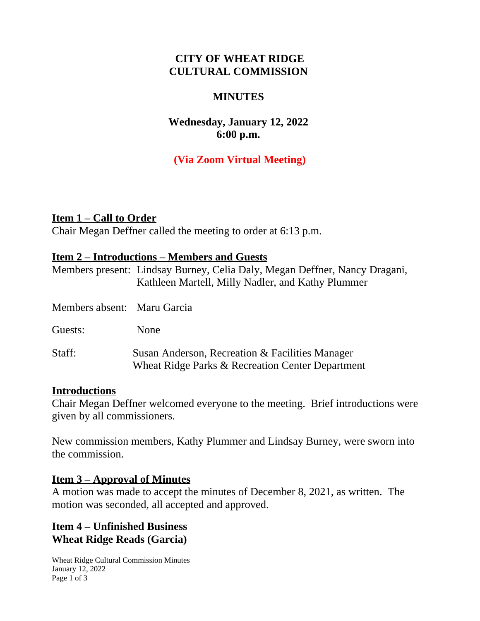### **CITY OF WHEAT RIDGE CULTURAL COMMISSION**

#### **MINUTES**

## **Wednesday, January 12, 2022 6:00 p.m.**

## **(Via Zoom Virtual Meeting)**

**Item 1 – Call to Order** Chair Megan Deffner called the meeting to order at 6:13 p.m.

#### **Item 2 – Introductions – Members and Guests**

|                             | Members present: Lindsay Burney, Celia Daly, Megan Deffner, Nancy Dragani,<br>Kathleen Martell, Milly Nadler, and Kathy Plummer |
|-----------------------------|---------------------------------------------------------------------------------------------------------------------------------|
| Members absent: Maru Garcia |                                                                                                                                 |
| Guests:                     | None                                                                                                                            |
| Staff:                      | Susan Anderson, Recreation & Facilities Manager<br>Wheat Ridge Parks & Recreation Center Department                             |

#### **Introductions**

Chair Megan Deffner welcomed everyone to the meeting. Brief introductions were given by all commissioners.

New commission members, Kathy Plummer and Lindsay Burney, were sworn into the commission.

#### **Item 3 – Approval of Minutes**

A motion was made to accept the minutes of December 8, 2021, as written. The motion was seconded, all accepted and approved.

### **Item 4 – Unfinished Business Wheat Ridge Reads (Garcia)**

Wheat Ridge Cultural Commission Minutes January 12, 2022 Page 1 of 3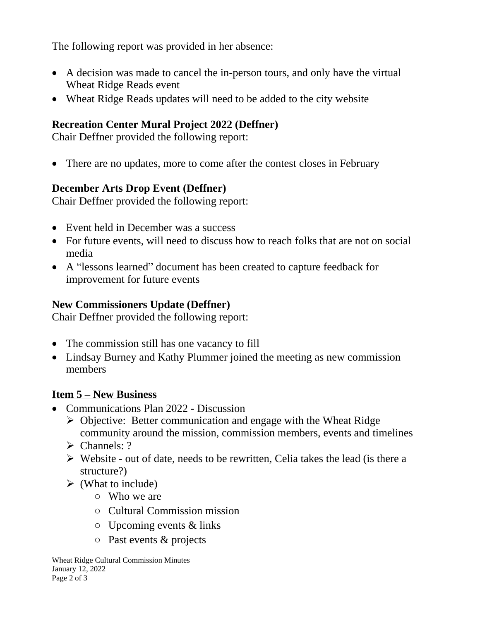The following report was provided in her absence:

- A decision was made to cancel the in-person tours, and only have the virtual Wheat Ridge Reads event
- Wheat Ridge Reads updates will need to be added to the city website

# **Recreation Center Mural Project 2022 (Deffner)**

Chair Deffner provided the following report:

• There are no updates, more to come after the contest closes in February

# **December Arts Drop Event (Deffner)**

Chair Deffner provided the following report:

- Event held in December was a success
- For future events, will need to discuss how to reach folks that are not on social media
- A "lessons learned" document has been created to capture feedback for improvement for future events

# **New Commissioners Update (Deffner)**

Chair Deffner provided the following report:

- The commission still has one vacancy to fill
- Lindsay Burney and Kathy Plummer joined the meeting as new commission members

# **Item 5 – New Business**

- Communications Plan 2022 Discussion
	- $\triangleright$  Objective: Better communication and engage with the Wheat Ridge community around the mission, commission members, events and timelines
	- $\triangleright$  Channels: ?
	- $\triangleright$  Website out of date, needs to be rewritten, Celia takes the lead (is there a structure?)
	- $\triangleright$  (What to include)
		- Who we are
		- Cultural Commission mission
		- $\circ$  Upcoming events & links
		- Past events & projects